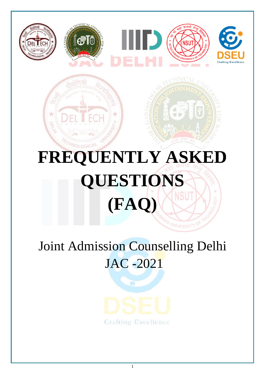

 $\frac{1}{2}$ 

# **FREQUENTLY ASKED QUESTIONS (FAQ)**

# Joint Admission Counselling Delhi JAC -2021

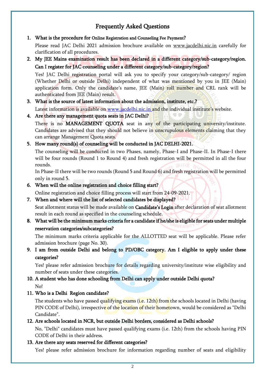# Frequently Asked Questions

#### 1. What is the procedure for Online Registration and Counseling Fee Payment?

Please read JAC Delhi 2021 admission brochure available on www.jacdelhi.nic.in carefully for clarification of all procedures.

2. My JEE Mains examination result has been declared in a different category/sub-category/region. Can I register for JAC counseling under a different category/sub-category/region?

Yes! JAC Delhi registration portal will ask you to specify your category/sub-category/ region (Whether Delhi or outside Delhi) independent of what was mentioned by you in JEE (Main) application form. Only the candidate's name, JEE (Main) roll number and CRL rank will be authenticated from JEE (Main) result.

3. What is the source of latest information about the admission, institute, etc.? Latest information is available on [www.jacdelhi.nic.in](http://www.jacdelhi.nic.in/) and the individual institute's website.

# 4. Are there any management quota seats in JAC Delhi?

There is no MANAGEMENT QUOTA seat in any of the participating university/institute. Candidates are advised that they should not believe in unscrupulous elements claiming that they can arrange Management Quota seats.

# 5. How many round(s) of counseling will be conducted in JAC DELHI-2021.

The counseling will be conducted in two Phases, namely, Phase-I and Phase-II. In Phase-I there will be four rounds (Round 1 to Round 4) and fresh registration will be permitted in all the four rounds.

In Phase-II there will be two rounds (Round 5 and Round 6) and fresh registration will be permitted only in round 5.

6. When will the online registration and choice filling start?

Online registration and choice filling process will start from 24-09-2021.

7. When and where will the list of selected candidates be displayed?

Seat allotment status will be made available on Candidate's Login after declaration of seat allotment result in each round as specified in the counseling schedule.

8. What will be the minimum marks criteria for a candidate if he/she is eligible for seats under multiple reservation categories/subcategories?

The minimum marks criteria applicable for the ALLOTTED seat will be applicable. Please refer admission brochure (page No. 30).

9. I am from outside Delhi and belong to PD/OBC category. Am I eligible to apply under these categories?

Yes! please refer admission brochure for details regarding university/institute wise eligibility and number of seats under these categories.

# 10. A student who has done schooling from Delhi can apply under outside Delhi quota?

No!

11. Who is a Delhi Region candidate?

The students who have passed qualifying exams (i.e. 12th) from the schools located in Delhi (having PIN CODE of Delhi), irrespective of the location of their hometown, would be considered as "Delhi Candidate".

# 12. Are schools located in NCR, but outside Delhi borders, considered as Delhi schools?

No, "Delhi" candidates must have passed qualifying exams (i.e. 12th) from the schools having PIN CODE of Delhi in their address.

# 13. Are there any seats reserved for different categories?

Yes! please refer admission brochure for information regarding number of seats and eligibility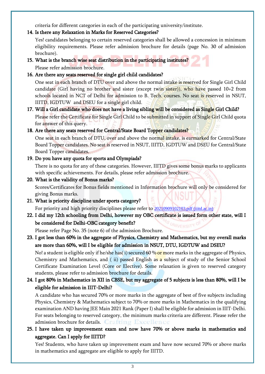criteria for different categories in each of the participating university/institute.

#### 14. Is there any Relaxation in Marks for Reserved Categories?

Yes! candidates belonging to certain reserved categories shall be allowed a concession in minimum eligibility requirements. Please refer admission brochure for details (page No. 30 of admission brochure).

15. What is the branch wise seat distribution in the participating institutes?

Please refer admission brochure.

# 16. Are there any seats reserved for single girl child candidates?

One seat in each branch of DTU over and above the normal intake is reserved for Single Girl Child candidate (Girl having no brother and sister (except twin sister)), who have passed 10+2 from schools located in NCT of Delhi for admission to B. Tech. courses. No seat is reserved in NSUT, IIITD, IGDTUW and DSEU for a single girl child.

17. Will a Girl candidate who does not have a living sibling will be considered as Single Girl Child? Please refer the Certificate for Single Girl Child to be submitted in support of Single Girl Child quota for answer of this query.

# 18. Are there any seats reserved for Central/State Board Topper candidates?

One seat in each branch of DTU, over and above the normal intake, is earmarked for Central/State Board Topper candidates. No seat is reserved in NSUT, IIITD, IGDTUW and DSEU for Central/State Board Topper candidates.

# 19. Do you have any quota for sports and Olympiads?

There is no quota for any of these categories. However, IIITD gives some bonus marks to applicants with specific achievements. For details, please refer admission brochure.

# 20. What is the validity of Bonus marks?

Scores/Certificates for Bonus fields mentioned in Information brochure will only be considered for giving Bonus marks.

# 21. What is priority discipline under sports category?

For priority and high priority disciplines please refer to [20210909102103.pdf \(iiitd.ac.in\)](https://iiitd.ac.in/sites/default/files/docs/admissions/2021/20210909102103.pdf)

# 22. I did my 12th schooling from Delhi, however my OBC certificate is issued form other state, will I be considered for Delhi-OBC category benefit?

Please refer Page No. 35 (note 6) of the admission Brochure.

# 23. I got less than 60% in the aggregate of Physics, Chemistry and Mathematics, but my overall marks are more than 60%, will I be eligible for admission in NSUT, DTU, IGDTUW and DSEU?

No! a student is eligible only if he/she has( $i$ ) secured 60 % or more marks in the aggregate of Physics, Chemistry and Mathematics, and ( ii) passed English as a subject of study of the Senior School Certificate Examination Level (Core or Elective). Some relaxation is given to reserved category students, please refer to admission brochure for details.

# 24. I got 80% in Mathematics in XII in CBSE, but my aggregate of 5 subjects is less than 80%, will I be eligible for admission in IIIT-Delhi?

A candidate who has secured 70% or more marks in the aggregate of best of five subjects including Physics, Chemistry & Mathematics subject to 70% or more marks in Mathematics in the qualifying examination AND having JEE Main 2021 Rank (Paper I) shall be eligible for admission in IIIT-Delhi. For seats belonging to reserved category, the minimum marks criteria are different. Please refer the admission brochure for details. Crafting Excellence

# 25. I have taken up improvement exam and now have 70% or above marks in mathematics and aggregate. Can I apply for IIITD?

Yes! Students, who have taken up improvement exam and have now secured 70% or above marks in mathematics and aggregate are eligible to apply for IIITD.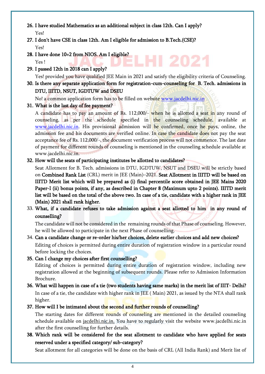- 26. I have studied Mathematics as an additional subject in class 12th. Can I apply? Yes!
- 27. I don't have CSE in class 12th. Am I eligible for admission to B.Tech.(CSE)? Yes!
- 28. I have done 10+2 from NIOS. Am I eligible? Yes !
- 29. I passed 12th in 2018 can I apply?

Yes! provided you have qualified JEE Main in 2021 and satisfy the eligibility criteria of Counseling.

12021

30. Is there any separate application form for registration-cum-counseling for B. Tech. admissions in DTU, IIITD, NSUT, IGDTUW and DSEU

No! a common application form has to be filled on website [www.jacdelhi.nic.in](http://www.jacdelhi.nic.in/)

#### 31. What is the last day of fee payment?

A candidate has to pay an amount of Rs. 112,000/- when he is allotted a seat in any round of counseling, as per the schedule specified in the counseling schedule, available at [www.jacdelhi.nic.in.](http://www.jacdelhi.nic.in/) His provisional admission will be confirmed, once he pays, online, the admission fee and his documents are verified online. In case the candidate does not pay the seat acceptance fee of Rs. 112,000/-, the document verification process will not commence. The last date of payment for different rounds of counseling is mentioned in the counseling schedule available at www.jacdelhi.nic.in.

#### 32. How will the seats of participating institutes be allotted to candidates?

Seat Allotment for B. Tech. admissions in DTU, IGDTUW, NSUT and DSEU will be strictly based on Combined Rank List (CRL) merit in JEE (Main)–2021. Seat Allotment in IIITD will be based on IIITD Merit list which will be prepared as (i) final percentile score obtained in JEE Mains 2020 Paper-I (ii) bonus points, if any, as described in Chapter 8 (Maximum upto 2 points). IIITD merit list will be based on the total of the above two. In case of a tie, candidate with a higher rank in JEE (Main) 2021 shall rank higher.

33. What, if a candidate refuses to take admission against a seat allotted to him in any round of counselling?

The candidate will not be considered in the remaining rounds of that Phase of counseling. However, he will be allowed to participate in the next Phase of counselling.

# 34. Can a candidate change or re-order his/her choices, delete earlier choices and add new choices? Editing of choices is permitted during entire duration of registration window in a particular round before locking the choices.

#### 35. Can I change my choices after first counselling?

Editing of choices is permitted during entire duration of registration window, including new registration allowed at the beginning of subsequent rounds. Please refer to Admission Information Brochure.

# 36. What will happen in case of a tie (two students having same marks) in the merit list of IIIT- Delhi? In case of a tie, the candidate with higher rank in JEE ( Main) 2021, as issued by the NTA shall rank higher.

# 37. How will I be intimated about the second and further rounds of counselling?

The starting dates for different rounds of counseling are mentioned in the detailed counseling schedule available on jacdelhi.nic.in. You have to regularly visit the website www.jacdelhi.nic.in after the first counselling for further details.

# 38. Which rank will be considered for the seat allotment to candidate who have applied for seats reserved under a specified category/ sub-category?

Seat allotment for all categories will be done on the basis of CRL (All India Rank) and Merit list of